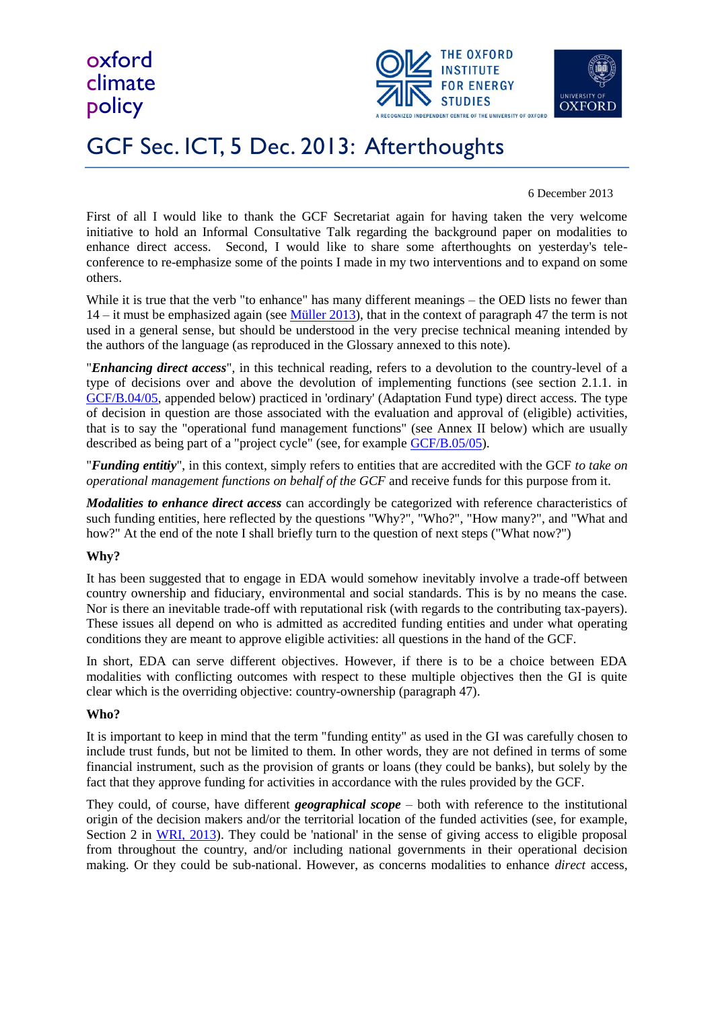oxford climate policy





## GCF Sec. ICT, 5 Dec. 2013: Afterthoughts

#### 6 December 2013

First of all I would like to thank the GCF Secretariat again for having taken the very welcome initiative to hold an Informal Consultative Talk regarding the background paper on modalities to enhance direct access. Second, I would like to share some afterthoughts on yesterday's teleconference to re-emphasize some of the points I made in my two interventions and to expand on some others.

While it is true that the verb "to enhance" has many different meanings – the OED lists no fewer than 14 – it must be emphasized again (see [Müller 2013\)](http://www.oxfordclimatepolicy.org/publications/documents/EnhancedDirectAccess-04-2013.pdf), that in the context of paragraph 47 the term is not used in a general sense, but should be understood in the very precise technical meaning intended by the authors of the language (as reproduced in the Glossary annexed to this note).

"*Enhancing direct access*", in this technical reading, refers to a devolution to the country-level of a type of decisions over and above the devolution of implementing functions (see section 2.1.1. in [GCF/B.04/05,](http://www.gcfund.net/fileadmin/00_customer/documents/pdf/B-04_05_BMF_Access_Modalities_11Jun13.pdf) appended below) practiced in 'ordinary' (Adaptation Fund type) direct access. The type of decision in question are those associated with the evaluation and approval of (eligible) activities, that is to say the "operational fund management functions" (see Annex II below) which are usually described as being part of a "project cycle" (see, for example [GCF/B.05/05\)](http://gcfund.net/fileadmin/00_customer/documents/pdf/GCF_B05_05_Allocation_fin_2013_09_30.pdf).

"*Funding entitiy*", in this context, simply refers to entities that are accredited with the GCF *to take on operational management functions on behalf of the GCF* and receive funds for this purpose from it.

*Modalities to enhance direct access* can accordingly be categorized with reference characteristics of such funding entities, here reflected by the questions "Why?", "Who?", "How many?", and "What and how?" At the end of the note I shall briefly turn to the question of next steps ("What now?")

#### **Why?**

It has been suggested that to engage in EDA would somehow inevitably involve a trade-off between country ownership and fiduciary, environmental and social standards. This is by no means the case. Nor is there an inevitable trade-off with reputational risk (with regards to the contributing tax-payers). These issues all depend on who is admitted as accredited funding entities and under what operating conditions they are meant to approve eligible activities: all questions in the hand of the GCF.

In short, EDA can serve different objectives. However, if there is to be a choice between EDA modalities with conflicting outcomes with respect to these multiple objectives then the GI is quite clear which is the overriding objective: country-ownership (paragraph 47).

#### **Who?**

It is important to keep in mind that the term "funding entity" as used in the GI was carefully chosen to include trust funds, but not be limited to them. In other words, they are not defined in terms of some financial instrument, such as the provision of grants or loans (they could be banks), but solely by the fact that they approve funding for activities in accordance with the rules provided by the GCF.

They could, of course, have different *geographical scope* – both with reference to the institutional origin of the decision makers and/or the territorial location of the funded activities (see, for example, Section 2 in [WRI, 2013\)](http://www.wri.org/sites/default/files/Ownership%20and%20Accountability%20Final%20Paper.pdf). They could be 'national' in the sense of giving access to eligible proposal from throughout the country, and/or including national governments in their operational decision making. Or they could be sub-national. However, as concerns modalities to enhance *direct* access,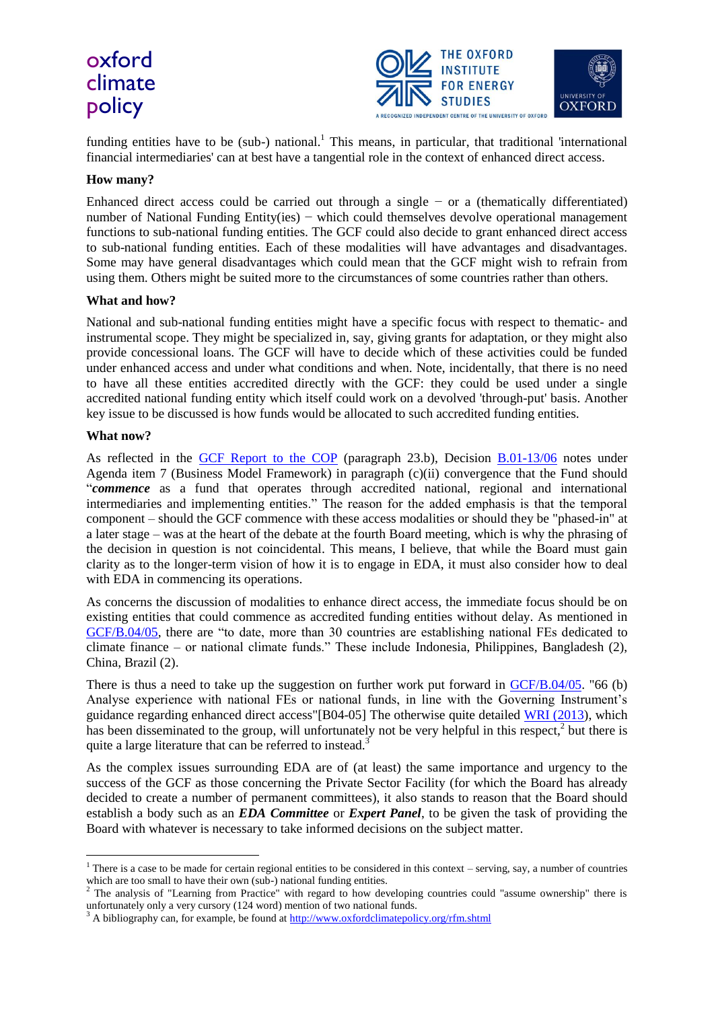### oxford climate policy



funding entities have to be (sub-) national.<sup>1</sup> This means, in particular, that traditional 'international financial intermediaries' can at best have a tangential role in the context of enhanced direct access.

#### **How many?**

Enhanced direct access could be carried out through a single − or a (thematically differentiated) number of National Funding Entity(ies) – which could themselves devolve operational management functions to sub-national funding entities. The GCF could also decide to grant enhanced direct access to sub-national funding entities. Each of these modalities will have advantages and disadvantages. Some may have general disadvantages which could mean that the GCF might wish to refrain from using them. Others might be suited more to the circumstances of some countries rather than others.

#### **What and how?**

National and sub-national funding entities might have a specific focus with respect to thematic- and instrumental scope. They might be specialized in, say, giving grants for adaptation, or they might also provide concessional loans. The GCF will have to decide which of these activities could be funded under enhanced access and under what conditions and when. Note, incidentally, that there is no need to have all these entities accredited directly with the GCF: they could be used under a single accredited national funding entity which itself could work on a devolved 'through-put' basis. Another key issue to be discussed is how funds would be allocated to such accredited funding entities.

#### **What now?**

1

As reflected in the [GCF Report to the COP](http://gcfund.net/fileadmin/00_customer/documents/pdf/GCF_B05_05_Allocation_fin_2013_09_30.pdf) (paragraph 23.b), Decision [B.01-13/06](http://www.gcfund.net/fileadmin/00_customer/documents/pdf/Decisions_of_the_Board_V1_15March2013.pdf) notes under Agenda item 7 (Business Model Framework) in paragraph (c)(ii) convergence that the Fund should "*commence* as a fund that operates through accredited national, regional and international intermediaries and implementing entities." The reason for the added emphasis is that the temporal component – should the GCF commence with these access modalities or should they be "phased-in" at a later stage – was at the heart of the debate at the fourth Board meeting, which is why the phrasing of the decision in question is not coincidental. This means, I believe, that while the Board must gain clarity as to the longer-term vision of how it is to engage in EDA, it must also consider how to deal with EDA in commencing its operations.

As concerns the discussion of modalities to enhance direct access, the immediate focus should be on existing entities that could commence as accredited funding entities without delay. As mentioned in [GCF/B.04/05,](http://www.gcfund.net/fileadmin/00_customer/documents/pdf/B-04_05_BMF_Access_Modalities_11Jun13.pdf) there are "to date, more than 30 countries are establishing national FEs dedicated to climate finance – or national climate funds." These include Indonesia, Philippines, Bangladesh (2), China, Brazil (2).

There is thus a need to take up the suggestion on further work put forward in [GCF/B.04/05.](http://www.gcfund.net/fileadmin/00_customer/documents/pdf/B-04_05_BMF_Access_Modalities_11Jun13.pdf) "66 (b) Analyse experience with national FEs or national funds, in line with the Governing Instrument's guidance regarding enhanced direct access"[B04-05] The otherwise quite detailed [WRI \(2013\)](http://www.wri.org/sites/default/files/Ownership%20and%20Accountability%20Final%20Paper.pdf), which has been disseminated to the group, will unfortunately not be very helpful in this respect, $2$  but there is quite a large literature that can be referred to instead.<sup>3</sup>

As the complex issues surrounding EDA are of (at least) the same importance and urgency to the success of the GCF as those concerning the Private Sector Facility (for which the Board has already decided to create a number of permanent committees), it also stands to reason that the Board should establish a body such as an *EDA Committee* or *Expert Panel*, to be given the task of providing the Board with whatever is necessary to take informed decisions on the subject matter.

 $1$  There is a case to be made for certain regional entities to be considered in this context – serving, say, a number of countries which are too small to have their own (sub-) national funding entities.

<sup>&</sup>lt;sup>2</sup> The analysis of "Learning from Practice" with regard to how developing countries could "assume ownership" there is unfortunately only a very cursory (124 word) mention of two national funds.

 $3$  A bibliography can, for example, be found a[t http://www.oxfordclimatepolicy.org/rfm.shtml](http://www.oxfordclimatepolicy.org/rfm.shtml)